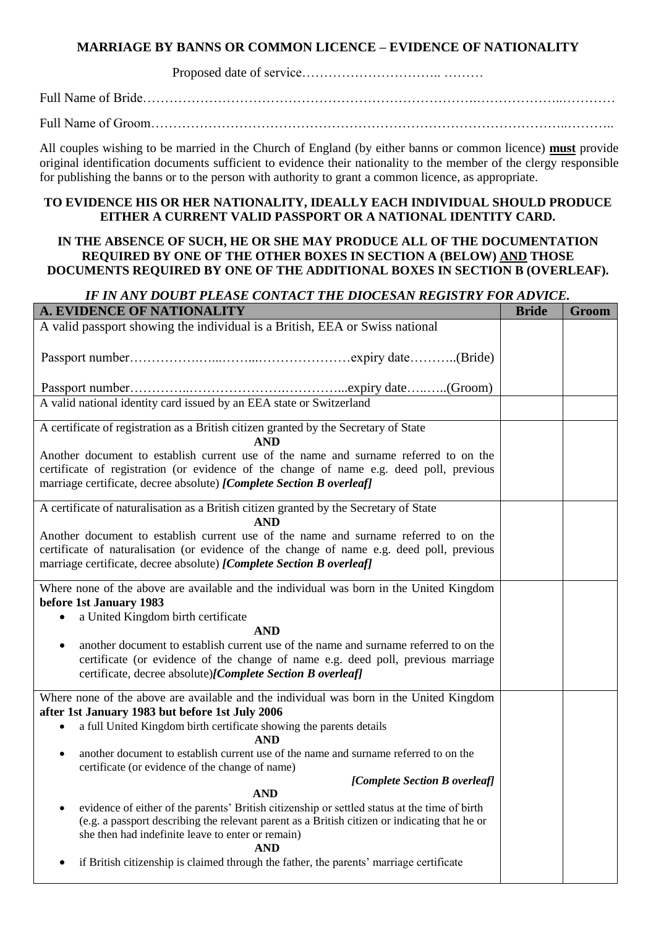# **MARRIAGE BY BANNS OR COMMON LICENCE – EVIDENCE OF NATIONALITY**

Proposed date of service………………………….. ………

Full Name of Bride………………………………………………………………….………………..…………

Full Name of Groom…………………………………………………………………………………..………..

All couples wishing to be married in the Church of England (by either banns or common licence) **must** provide original identification documents sufficient to evidence their nationality to the member of the clergy responsible for publishing the banns or to the person with authority to grant a common licence, as appropriate.

### **TO EVIDENCE HIS OR HER NATIONALITY, IDEALLY EACH INDIVIDUAL SHOULD PRODUCE EITHER A CURRENT VALID PASSPORT OR A NATIONAL IDENTITY CARD.**

### **IN THE ABSENCE OF SUCH, HE OR SHE MAY PRODUCE ALL OF THE DOCUMENTATION REQUIRED BY ONE OF THE OTHER BOXES IN SECTION A (BELOW) AND THOSE DOCUMENTS REQUIRED BY ONE OF THE ADDITIONAL BOXES IN SECTION B (OVERLEAF).**

# *IF IN ANY DOUBT PLEASE CONTACT THE DIOCESAN REGISTRY FOR ADVICE.*

| o cdi i margo continei the diochain regional<br>A. EVIDENCE OF NATIONALITY                                                                                                                                                                                        | <b>Bride</b> | Groom |
|-------------------------------------------------------------------------------------------------------------------------------------------------------------------------------------------------------------------------------------------------------------------|--------------|-------|
| A valid passport showing the individual is a British, EEA or Swiss national                                                                                                                                                                                       |              |       |
|                                                                                                                                                                                                                                                                   |              |       |
|                                                                                                                                                                                                                                                                   |              |       |
| A valid national identity card issued by an EEA state or Switzerland                                                                                                                                                                                              |              |       |
| A certificate of registration as a British citizen granted by the Secretary of State<br><b>AND</b>                                                                                                                                                                |              |       |
| Another document to establish current use of the name and surname referred to on the<br>certificate of registration (or evidence of the change of name e.g. deed poll, previous<br>marriage certificate, decree absolute) [Complete Section B overleaf]           |              |       |
| A certificate of naturalisation as a British citizen granted by the Secretary of State<br><b>AND</b>                                                                                                                                                              |              |       |
| Another document to establish current use of the name and surname referred to on the<br>certificate of naturalisation (or evidence of the change of name e.g. deed poll, previous<br>marriage certificate, decree absolute) [Complete Section B overleaf]         |              |       |
| Where none of the above are available and the individual was born in the United Kingdom<br>before 1st January 1983                                                                                                                                                |              |       |
| a United Kingdom birth certificate                                                                                                                                                                                                                                |              |       |
| <b>AND</b>                                                                                                                                                                                                                                                        |              |       |
| another document to establish current use of the name and surname referred to on the<br>$\bullet$<br>certificate (or evidence of the change of name e.g. deed poll, previous marriage<br>certificate, decree absolute)[Complete Section B overleaf]               |              |       |
| Where none of the above are available and the individual was born in the United Kingdom<br>after 1st January 1983 but before 1st July 2006                                                                                                                        |              |       |
| a full United Kingdom birth certificate showing the parents details<br>$\bullet$<br><b>AND</b>                                                                                                                                                                    |              |       |
| another document to establish current use of the name and surname referred to on the<br>$\bullet$<br>certificate (or evidence of the change of name)<br>[Complete Section B overleaf]                                                                             |              |       |
| <b>AND</b>                                                                                                                                                                                                                                                        |              |       |
| evidence of either of the parents' British citizenship or settled status at the time of birth<br>(e.g. a passport describing the relevant parent as a British citizen or indicating that he or<br>she then had indefinite leave to enter or remain)<br><b>AND</b> |              |       |
| if British citizenship is claimed through the father, the parents' marriage certificate                                                                                                                                                                           |              |       |